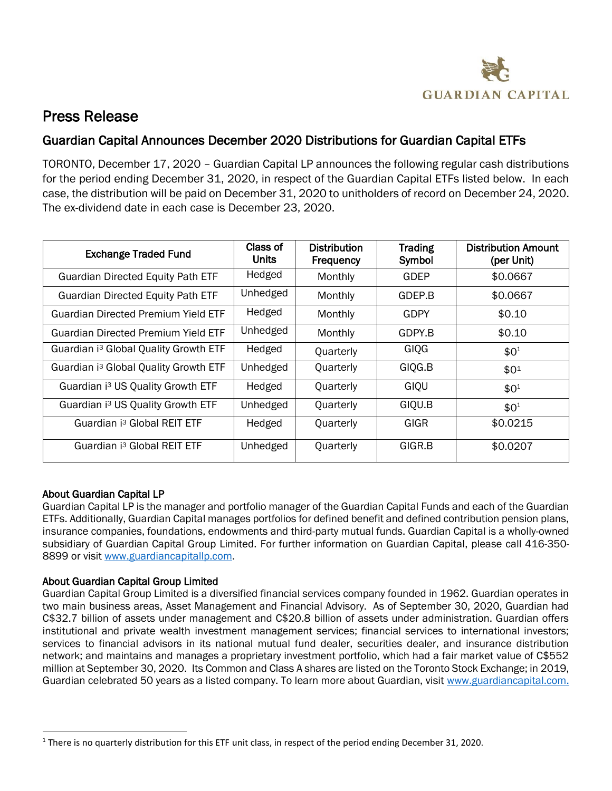

## Press Release

## Guardian Capital Announces December 2020 Distributions for Guardian Capital ETFs

TORONTO, December 17, 2020 – Guardian Capital LP announces the following regular cash distributions for the period ending December 31, 2020, in respect of the Guardian Capital ETFs listed below. In each case, the distribution will be paid on December 31, 2020 to unitholders of record on December 24, 2020. The ex-dividend date in each case is December 23, 2020.

| <b>Exchange Traded Fund</b>                       | Class of<br>Units | <b>Distribution</b><br>Frequency | <b>Trading</b><br>Symbol | <b>Distribution Amount</b><br>(per Unit) |
|---------------------------------------------------|-------------------|----------------------------------|--------------------------|------------------------------------------|
| <b>Guardian Directed Equity Path ETF</b>          | Hedged            | Monthly                          | GDEP                     | \$0.0667                                 |
| <b>Guardian Directed Equity Path ETF</b>          | Unhedged          | Monthly                          | GDEP.B                   | \$0.0667                                 |
| <b>Guardian Directed Premium Yield ETF</b>        | Hedged            | Monthly                          | <b>GDPY</b>              | \$0.10                                   |
| <b>Guardian Directed Premium Yield ETF</b>        | Unhedged          | Monthly                          | GDPY.B                   | \$0.10                                   |
| Guardian i <sup>3</sup> Global Quality Growth ETF | Hedged            | Quarterly                        | GIQG                     | \$0 <sup>1</sup>                         |
| Guardian i <sup>3</sup> Global Quality Growth ETF | Unhedged          | Quarterly                        | GIQG.B                   | \$01                                     |
| Guardian i <sup>3</sup> US Quality Growth ETF     | Hedged            | Quarterly                        | GIQU                     | $$0^1$$                                  |
| Guardian i <sup>3</sup> US Quality Growth ETF     | Unhedged          | Quarterly                        | GIQU.B                   | \$0 <sup>1</sup>                         |
| Guardian i <sup>3</sup> Global REIT ETF           | Hedged            | Quarterly                        | GIGR                     | \$0.0215                                 |
| Guardian i <sup>3</sup> Global REIT ETF           | Unhedged          | Quarterly                        | GIGR.B                   | \$0.0207                                 |

## About Guardian Capital LP

 $\overline{a}$ 

Guardian Capital LP is the manager and portfolio manager of the Guardian Capital Funds and each of the Guardian ETFs. Additionally, Guardian Capital manages portfolios for defined benefit and defined contribution pension plans, insurance companies, foundations, endowments and third-party mutual funds. Guardian Capital is a wholly-owned subsidiary of Guardian Capital Group Limited. For further information on Guardian Capital, please call 416-350- 8899 or visit [www.guardiancapitallp.com.](http://www.guardiancapitallp.com/)

## About Guardian Capital Group Limited

Guardian Capital Group Limited is a diversified financial services company founded in 1962. Guardian operates in two main business areas, Asset Management and Financial Advisory. As of September 30, 2020, Guardian had C\$32.7 billion of assets under management and C\$20.8 billion of assets under administration. Guardian offers institutional and private wealth investment management services; financial services to international investors; services to financial advisors in its national mutual fund dealer, securities dealer, and insurance distribution network; and maintains and manages a proprietary investment portfolio, which had a fair market value of C\$552 million at September 30, 2020. Its Common and Class A shares are listed on the Toronto Stock Exchange; in 2019, Guardian celebrated 50 years as a listed company. To learn more about Guardian, visit [www.guardiancapital.com.](http://www.guardiancapital.com/)

<sup>&</sup>lt;sup>1</sup> There is no quarterly distribution for this ETF unit class, in respect of the period ending December 31, 2020.